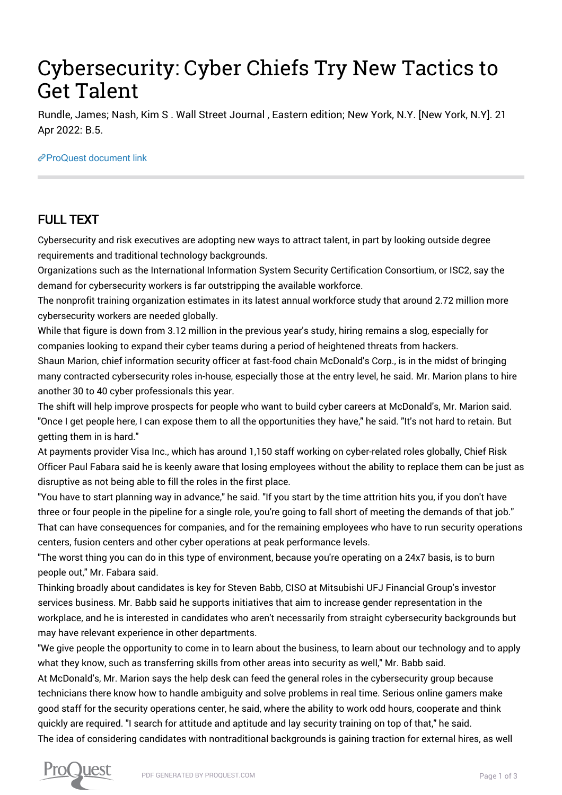## Cybersecurity: Cyber Chiefs Try New Tactics to Get Talent

Rundle, James; Nash, Kim S . Wall Street Journal , Eastern edition; New York, N.Y. [New York, N.Y]. 21 Apr 2022: B.5.

[ProQuest document link](https://www.proquest.com/newspapers/cybersecurity-cyber-chiefs-try-new-tactics-get/docview/2652766435/se-2?accountid=44910)

## FULL TEXT

Cybersecurity and risk executives are adopting new ways to attract talent, in part by looking outside degree requirements and traditional technology backgrounds.

Organizations such as the International Information System Security Certification Consortium, or ISC2, say the demand for cybersecurity workers is far outstripping the available workforce.

The nonprofit training organization estimates in its latest annual workforce study that around 2.72 million more cybersecurity workers are needed globally.

While that figure is down from 3.12 million in the previous year's study, hiring remains a slog, especially for companies looking to expand their cyber teams during a period of heightened threats from hackers.

Shaun Marion, chief information security officer at fast-food chain McDonald's Corp., is in the midst of bringing many contracted cybersecurity roles in-house, especially those at the entry level, he said. Mr. Marion plans to hire another 30 to 40 cyber professionals this year.

The shift will help improve prospects for people who want to build cyber careers at McDonald's, Mr. Marion said. "Once I get people here, I can expose them to all the opportunities they have," he said. "It's not hard to retain. But getting them in is hard."

At payments provider Visa Inc., which has around 1,150 staff working on cyber-related roles globally, Chief Risk Officer Paul Fabara said he is keenly aware that losing employees without the ability to replace them can be just as disruptive as not being able to fill the roles in the first place.

"You have to start planning way in advance," he said. "If you start by the time attrition hits you, if you don't have three or four people in the pipeline for a single role, you're going to fall short of meeting the demands of that job." That can have consequences for companies, and for the remaining employees who have to run security operations centers, fusion centers and other cyber operations at peak performance levels.

"The worst thing you can do in this type of environment, because you're operating on a 24x7 basis, is to burn people out," Mr. Fabara said.

Thinking broadly about candidates is key for Steven Babb, CISO at Mitsubishi UFJ Financial Group's investor services business. Mr. Babb said he supports initiatives that aim to increase gender representation in the workplace, and he is interested in candidates who aren't necessarily from straight cybersecurity backgrounds but may have relevant experience in other departments.

"We give people the opportunity to come in to learn about the business, to learn about our technology and to apply what they know, such as transferring skills from other areas into security as well," Mr. Babb said.

At McDonald's, Mr. Marion says the help desk can feed the general roles in the cybersecurity group because technicians there know how to handle ambiguity and solve problems in real time. Serious online gamers make good staff for the security operations center, he said, where the ability to work odd hours, cooperate and think quickly are required. "I search for attitude and aptitude and lay security training on top of that," he said. The idea of considering candidates with nontraditional backgrounds is gaining traction for external hires, as well

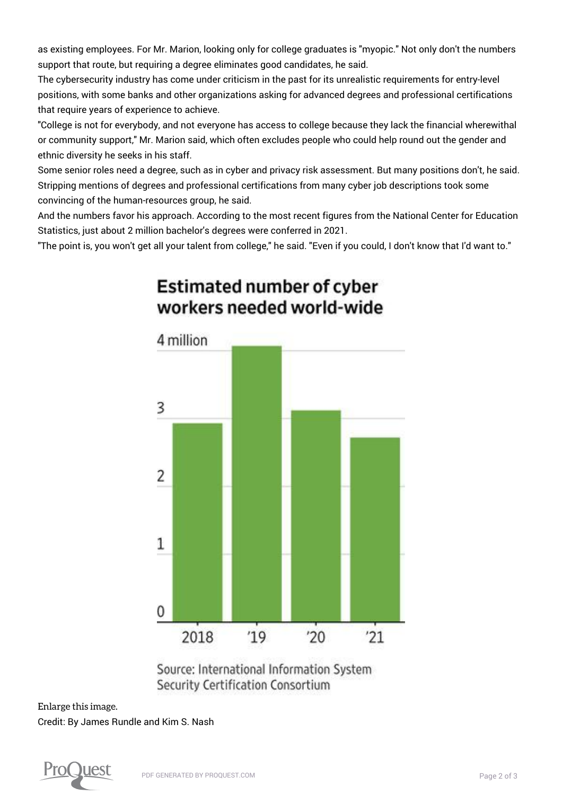as existing employees. For Mr. Marion, looking only for college graduates is "myopic." Not only don't the numbers support that route, but requiring a degree eliminates good candidates, he said.

The cybersecurity industry has come under criticism in the past for its unrealistic requirements for entry-level positions, with some banks and other organizations asking for advanced degrees and professional certifications that require years of experience to achieve.

"College is not for everybody, and not everyone has access to college because they lack the financial wherewithal or community support," Mr. Marion said, which often excludes people who could help round out the gender and ethnic diversity he seeks in his staff.

Some senior roles need a degree, such as in cyber and privacy risk assessment. But many positions don't, he said. Stripping mentions of degrees and professional certifications from many cyber job descriptions took some convincing of the human-resources group, he said.

And the numbers favor his approach. According to the most recent figures from the National Center for Education Statistics, just about 2 million bachelor's degrees were conferred in 2021.

"The point is, you won't get all your talent from college," he said. "Even if you could, I don't know that I'd want to."



## **Estimated number of cyber** workers needed world-wide

Source: International Information System Security Certification Consortium

[Enlarge this image.](https://www.proquest.comhttps://www.proquest.com/textgraphic/2652766435/fulltextwithgraphics/2AEDF79212484BCAPQ/1/1?accountid=44910) Credit: By James Rundle and Kim S. Nash